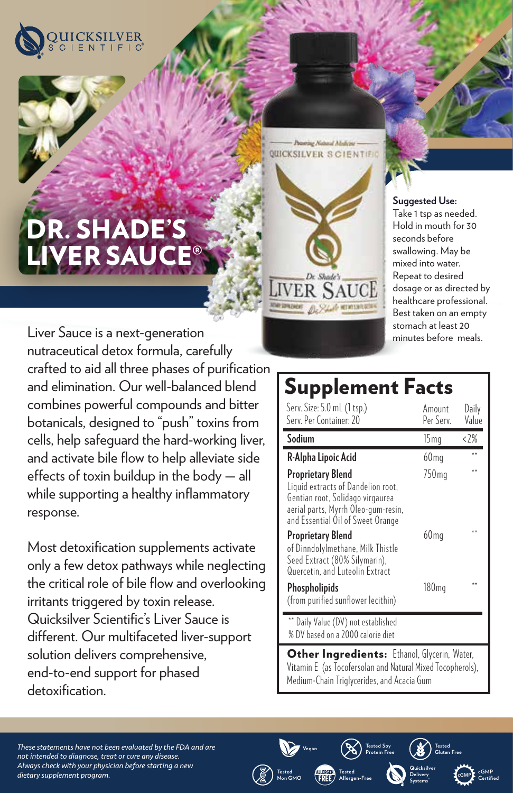

# R. SHADE'S R SAI

**VER SAUCE** 

Prairing Natural Modern QUICKSILVER SCIENTIFIC

**Suggested Use:** 

Take 1 tsp as needed. Hold in mouth for 30 seconds before swallowing. May be mixed into water. Repeat to desired dosage or as directed by healthcare professional. Best taken on an empty stomach at least 20 minutes before meals.

Liver Sauce is a next-generation nutraceutical detox formula, carefully crafted to aid all three phases of purification and elimination. Our well-balanced blend combines powerful compounds and bitter botanicals, designed to "push" toxins from cells, help safeguard the hard-working liver, and activate bile flow to help alleviate side effects of toxin buildup in the body  $-$  all while supporting a healthy inflammatory response.

Most detoxification supplements activate only a few detox pathways while neglecting the critical role of bile flow and overlooking irritants triggered by toxin release. Quicksilver Scientific's Liver Sauce is different. Our multifaceted liver-support solution delivers comprehensive, end-to-end support for phased detoxification.

## Supplement Facts

| Serv. Size: 5.0 mL (1 tsp.)<br>Serv. Per Container: 20                                                                                                                  | Amount<br>Per Serv. | Daily<br>Value |
|-------------------------------------------------------------------------------------------------------------------------------------------------------------------------|---------------------|----------------|
| Sodium                                                                                                                                                                  | 15 <sub>mq</sub>    | <2%            |
| R-Alpha Lipoic Acid                                                                                                                                                     | 60 <sub>mq</sub>    |                |
| Proprietary Blend<br>Liquid extracts of Dandelion root.<br>Gentian root, Solidago virgaurea<br>aerial parts, Myrrh Oleo-gum-resin,<br>and Essential Oil of Sweet Orange | 750 <sub>mg</sub>   |                |
| <b>Proprietary Blend</b><br>of Dinndolylmethane, Milk Thistle<br>Seed Extract (80% Silymarin),<br>Quercetin, and Luteolin Extract                                       | 60 m q              |                |
| Phospholipids<br>(from purified sunflower lecithin)                                                                                                                     | 180 <sub>mg</sub>   |                |
| Daily Value (DV) not established<br>% DV based on a 2000 calorie diet                                                                                                   |                     |                |

Other Ingredients: Ethanol, Glycerin, Water, Vitamin E (as Tocofersolan and Natural Mixed Tocopherols), Medium-Chain Triglycerides, and Acacia Gum

**Protein Free**

**Vegan Tested Soy** 

**Tested Allergen-Free**

ALLERGEN FREE

**Tested Non GMO** **Tested Gluten Free**

> **cGMP cGMP Certified**

**Quicksilver Delivery Systems®**

*These statements have not been evaluated by the FDA and are not intended to diagnose, treat or cure any disease. Always check with your physician before starting a new dietary supplement program.*